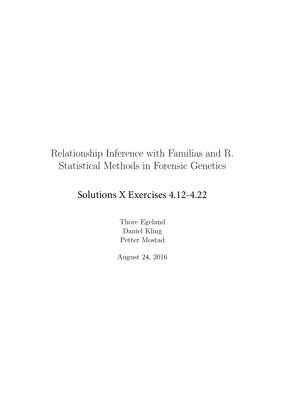# Relationship Inference with Familias and R. Statistical Methods in Forensic Genetics

# Solutions X Exercises 4.12-4.22

Thore Egeland Daniel Kling Petter Mostad

August 24, 2016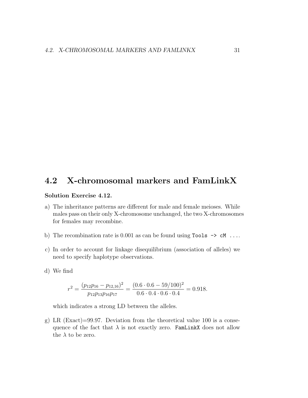# 4.2 X-chromosomal markers and FamLinkX

# Solution Exercise 4.12.

- a) The inheritance patterns are different for male and female meioses. While males pass on their only X-chromosome unchanged, the two X-chromosomes for females may recombine.
- b) The recombination rate is 0.001 as can be found using  $\texttt{Tools} \rightarrow \texttt{cM} \dots$
- c) In order to account for linkage disequilibrium (association of alleles) we need to specify haplotype observations.
- d) We find

$$
r^{2} = \frac{(p_{12}p_{16} - p_{12,16})^{2}}{p_{12}p_{13}p_{16}p_{17}} = \frac{(0.6 \cdot 0.6 - 59/100)^{2}}{0.6 \cdot 0.4 \cdot 0.6 \cdot 0.4} = 0.918.
$$

which indicates a strong LD between the alleles.

g) LR (Exact)=99.97. Deviation from the theoretical value 100 is a consequence of the fact that  $\lambda$  is not exactly zero. FamLinkX does not allow the  $\lambda$  to be zero.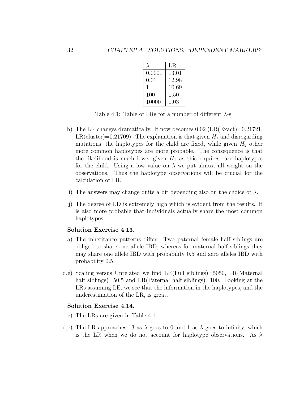|        | LR    |  |  |
|--------|-------|--|--|
| 0.0001 | 13.01 |  |  |
| 0.01   | 12.98 |  |  |
| 1      | 10.69 |  |  |
| 100    | 1.50  |  |  |
| 10000  | 1.03  |  |  |

Table 4.1: Table of LRs for a number of different  $\lambda$ -s.

- h) The LR changes dramatically. It now becomes  $0.02$  (LR(Exact)=0.21721, LR(cluster)=0.21709). The explanation is that given  $H_1$  and disregarding mutations, the haplotypes for the child are fixed, while given  $H_2$  other more common haplotypes are more probable. The consequence is that the likelihood is much lower given  $H_1$  as this requires rare haplotypes for the child. Using a low value on  $\lambda$  we put almost all weight on the observations. Thus the haplotype observations will be crucial for the calculation of LR.
- i) The answers may change quite a bit depending also on the choice of  $\lambda$ .
- j) The degree of LD is extremely high which is evident from the results. It is also more probable that individuals actually share the most common haplotypes.

## Solution Exercise 4.13.

- a) The inheritance patterns differ. Two paternal female half siblings are obliged to share one allele IBD, whereas for maternal half siblings they may share one allele IBD with probability 0.5 and zero alleles IBD with probability 0.5.
- d,e) Scaling versus Unrelated we find LR(Full siblings)=5050, LR(Maternal half siblings)=50.5 and LR(Paternal half siblings)=100. Looking at the LRs assuming LE, we see that the information in the haplotypes, and the underestimation of the LR, is great.

## Solution Exercise 4.14.

- c) The LRs are given in Table [4.1.](#page--1-0)
- d,e) The LR approaches 13 as  $\lambda$  goes to 0 and 1 as  $\lambda$  goes to infinity, which is the LR when we do not account for haplotype observations. As  $\lambda$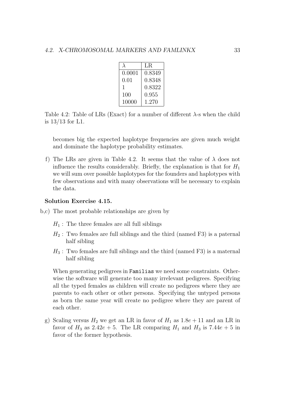|        | LR.    |
|--------|--------|
| 0.0001 | 0.8349 |
| 0.01   | 0.8348 |
| 1      | 0.8322 |
| 100    | 0.955  |
| 10000  | 1.270  |

Table 4.2: Table of LRs (Exact) for a number of different  $\lambda$ -s when the child is 13/13 for L1.

becomes big the expected haplotype frequencies are given much weight and dominate the haplotype probability estimates.

f) The LRs are given in Table [4.2.](#page--1-1) It seems that the value of  $\lambda$  does not influence the results considerably. Briefly, the explanation is that for  $H_1$ we will sum over possible haplotypes for the founders and haplotypes with few observations and with many observations will be necessary to explain the data.

## Solution Exercise 4.15.

- b,c) The most probable relationships are given by
	- $H_1$ : The three females are all full siblings
	- $H_2$ : Two females are full siblings and the third (named F3) is a paternal half sibling
	- $H_3$ : Two females are full siblings and the third (named F3) is a maternal half sibling

When generating pedigrees in **Familias** we need some constraints. Otherwise the software will generate too many irrelevant pedigrees. Specifying all the typed females as children will create no pedigrees where they are parents to each other or other persons. Specifying the untyped persons as born the same year will create no pedigree where they are parent of each other.

g) Scaling versus  $H_2$  we get an LR in favor of  $H_1$  as  $1.8e + 11$  and an LR in favor of  $H_3$  as  $2.42e + 5$ . The LR comparing  $H_1$  and  $H_3$  is  $7.44e + 5$  in favor of the former hypothesis.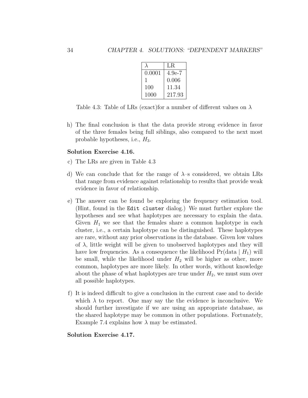|        | LR.      |
|--------|----------|
| 0.0001 | $4.9e-7$ |
| ı      | 0.006    |
| 100    | 11.34    |
| 1000   | 217.93   |

Table 4.3: Table of LRs (exact) for a number of different values on  $\lambda$ 

h) The final conclusion is that the data provide strong evidence in favor of the three females being full siblings, also compared to the next most probable hypotheses, i.e.,  $H_3$ .

# Solution Exercise 4.16.

- c) The LRs are given in Table [4.3](#page--1-2)
- d) We can conclude that for the range of  $\lambda$ -s considered, we obtain LRs that range from evidence against relationship to results that provide weak evidence in favor of relationship.
- e) The answer can be found be exploring the frequency estimation tool. (Hint, found in the Edit cluster dialog.) We must further explore the hypotheses and see what haplotypes are necessary to explain the data. Given  $H_1$  we see that the females share a common haplotype in each cluster, i.e., a certain haplotype can be distinguished. These haplotypes are rare, without any prior observations in the database. Given low values of  $\lambda$ , little weight will be given to unobserved haplotypes and they will have low frequencies. As a consequence the likelihood  $Pr(data | H_1)$  will be small, while the likelihood under  $H_2$  will be higher as other, more common, haplotypes are more likely. In other words, without knowledge about the phase of what haplotypes are true under  $H_2$ , we must sum over all possible haplotypes.
- f) It is indeed difficult to give a conclusion in the current case and to decide which  $\lambda$  to report. One may say the the evidence is inconclusive. We should further investigate if we are using an appropriate database, as the shared haplotype may be common in other populations. Fortunately, Example 7.4 explains how  $\lambda$  may be estimated.

#### Solution Exercise 4.17.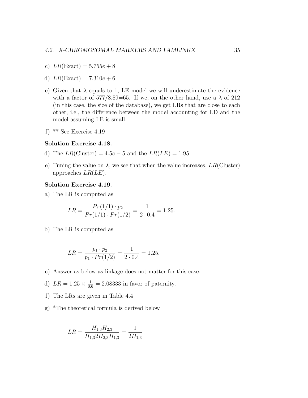- c)  $LR(Exact) = 5.755e + 8$
- d)  $LR(Exact) = 7.310e + 6$
- e) Given that  $\lambda$  equals to 1, LE model we will underestimate the evidence with a factor of  $577/8.89=65$ . If we, on the other hand, use a  $\lambda$  of 212 (in this case, the size of the database), we get LRs that are close to each other, i.e., the difference between the model accounting for LD and the model assuming LE is small.
- f) \*\* See Exercise [4.19](#page--1-3)

#### Solution Exercise 4.18.

- d) The  $LR$ (Cluster) = 4.5e 5 and the  $LR(LE) = 1.95$
- e) Tuning the value on  $\lambda$ , we see that when the value increases,  $LR$  (Cluster) approaches  $LR(LE)$ .

#### Solution Exercise 4.19.

a) The LR is computed as

$$
LR = \frac{Pr(1/1) \cdot p_2}{Pr(1/1) \cdot Pr(1/2)} = \frac{1}{2 \cdot 0.4} = 1.25.
$$

b) The LR is computed as

$$
LR = \frac{p_1 \cdot p_2}{p_1 \cdot Pr(1/2)} = \frac{1}{2 \cdot 0.4} = 1.25.
$$

- c) Answer as below as linkage does not matter for this case.
- d)  $LR = 1.25 \times \frac{1}{0.6} = 2.08333$  in favor of paternity.
- f) The LRs are given in Table [4.4](#page--1-4)
- g) \*The theoretical formula is derived below

$$
LR = \frac{H_{1,3}H_{2,3}}{H_{1,3}2H_{2,3}H_{1,3}} = \frac{1}{2H_{1,3}}
$$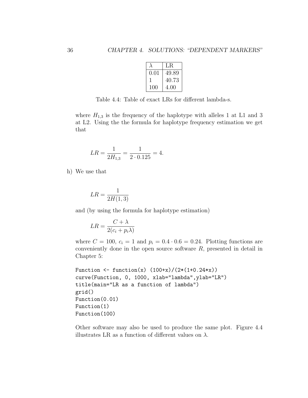|          | LR.   |
|----------|-------|
| 0.01     | 49.89 |
| <b>I</b> | 40.73 |
| 100      | 4.00  |

Table 4.4: Table of exact LRs for different lambda-s.

where  $H_{1,3}$  is the frequency of the haplotype with alleles 1 at L1 and 3 at L2. Using the the formula for haplotype frequency estimation we get that

$$
LR = \frac{1}{2H_{1,3}} = \frac{1}{2 \cdot 0.125} = 4.
$$

h) We use that

$$
LR = \frac{1}{2H(1,3)}
$$

and (by using the formula for haplotype estimation)

$$
LR = \frac{C + \lambda}{2(c_i + p_i \lambda)}
$$

where  $C = 100$ ,  $c_i = 1$  and  $p_i = 0.4 \cdot 0.6 = 0.24$ . Plotting functions are conveniently done in the open source software  $R$ , presented in detail in Chapter 5:

```
Function \leftarrow function(x) (100+x)/(2*(1+0.24*x))curve(Function, 0, 1000, xlab="lambda",ylab="LR")
title(main="LR as a function of lambda")
grid()
Function(0.01)
Function(1)
Function(100)
```
Other software may also be used to produce the same plot. Figure [4.4](#page--1-5) illustrates LR as a function of different values on  $\lambda$ .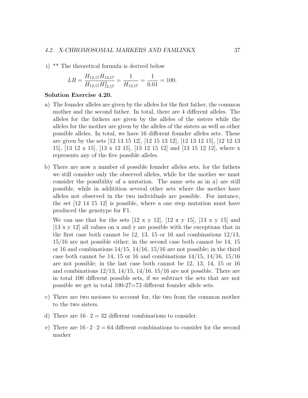i) \*\* The theoretical formula is derived below

$$
LR = \frac{H_{12,17}H_{12,17}}{H_{12,17}H_{12,17}^2} = \frac{1}{H_{12,17}} = \frac{1}{0.01} = 100.
$$

#### Solution Exercise 4.20.

- a) The founder alleles are given by the alleles for the first father, the common mother and the second father. In total, there are 4 different alleles. The alleles for the fathers are given by the alleles of the sisters while the alleles for the mother are given by the alleles of the sisters as well as other possible alleles. In total, we have 16 different founder alleles sets. These are given by the sets [12 13 15 12], [12 15 13 12], [12 13 12 15], [12 12 13 15], [13 12 x 15], [13 x 12 15], [13 12 15 12] and [13 15 12 12], where x represents any of the five possible alleles.
- b) There are now a number of possible founder alleles sets, for the fathers we still consider only the observed alleles, while for the mother we must consider the possibility of a mutation. The same sets as in a) are still possible, while in additition several other sets where the mother have alleles not observed in the two individuals are possible. For instance, the set [12 14 15 12] is possible, where a one step mutation must have produced the genotype for F1.

We can use that for the sets  $[12 \times y 12]$ ,  $[12 \times y 15]$ ,  $[13 \times y 15]$  and [13 x y 12] all values on x and y are possible with the exceptions that in the first case both cannot be 12, 13, 15 or 16 and combinations  $12/13$ , 15/16 are not possible either; in the second case both cannot be 14, 15 or 16 and combinations  $14/15$ ,  $14/16$ ,  $15/16$  are not possible; in the third case both cannot be 14, 15 or 16 and combinations  $14/15$ ,  $14/16$ ,  $15/16$ are not possible; in the last case both cannot be 12, 13, 14, 15 or 16 and combinations  $12/13$ ,  $14/15$ ,  $14/16$ ,  $15/16$  are not possible. There are in total 100 different possible sets, if we subtract the sets that are not possible we get in total 100-27=73 different founder allele sets.

- c) There are two meioses to account for, the two from the common mother to the two sisters.
- d) There are  $16 \cdot 2 = 32$  different combinations to consider.
- e) There are  $16 \cdot 2 \cdot 2 = 64$  different combinations to consider for the second marker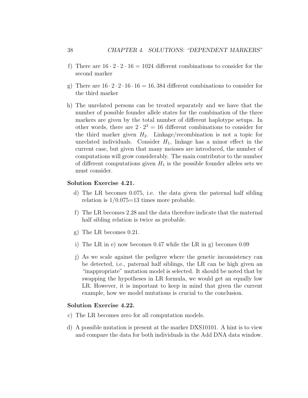- f) There are  $16 \cdot 2 \cdot 2 \cdot 16 = 1024$  different combinations to consider for the second marker
- g) There are  $16 \cdot 2 \cdot 2 \cdot 16 \cdot 16 = 16,384$  different combinations to consider for the third marker
- h) The unrelated persons can be treated separately and we have that the number of possible founder allele states for the combination of the three markers are given by the total number of different haplotype setups. In other words, there are  $2 \cdot 2^3 = 16$  different combinations to consider for the third marker given  $H_2$ . Linkage/recombination is not a topic for unrelated individuals. Consider  $H_1$ , linkage has a minor effect in the current case, but given that many meioses are introduced, the number of computations will grow considerably. The main contributor to the number of different computations given  $H_1$  is the possible founder alleles sets we must consider.

#### Solution Exercise 4.21.

- d) The LR becomes 0.075, i.e. the data given the paternal half sibling relation is  $1/0.075=13$  times more probable.
- f) The LR becomes 2.28 and the data therefore indicate that the maternal half sibling relation is twice as probable.
- g) The LR becomes 0.21.
- i) The LR in e) now becomes 0.47 while the LR in g) becomes 0.09
- j) As we scale against the pedigree where the genetic inconsistency can be detected, i.e., paternal half siblings, the LR can be high given an "inappropriate" mutation model is selected. It should be noted that by swapping the hypotheses in LR formula, we would get an equally low LR. However, it is important to keep in mind that given the current example, how we model mutations is crucial to the conclusion.

# Solution Exercise 4.22.

- c) The LR becomes zero for all computation models.
- d) A possible mutation is present at the marker DXS10101. A hint is to view and compare the data for both individuals in the Add DNA data window.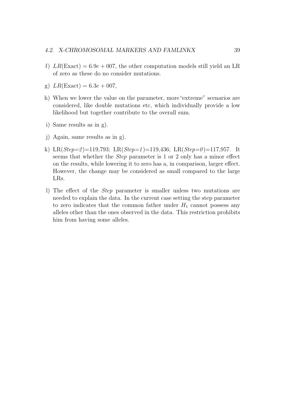# 4.2. X-CHROMOSOMAL MARKERS AND FAMLINKX 39

- f)  $LR(Exact) = 6.9e + 007$ , the other computation models still yield an LR of zero as these do no consider mutations.
- g)  $LR(Exact) = 6.3e + 007$ ,
- h) When we lower the value on the parameter, more"extreme" scenarios are considered, like double mutations etc, which individually provide a low likelihood but together contribute to the overall sum.
- i) Same results as in g).
- j) Again, same results as in g).
- k) LR( $Step=2$ )=119,793; LR( $Step=1$ )=119,436; LR( $Step=0$ )=117,957. It seems that whether the Step parameter is 1 or 2 only has a minor effect on the results, while lowering it to zero has a, in comparison, larger effect. However, the change may be considered as small compared to the large LRs.
- l) The effect of the Step parameter is smaller unless two mutations are needed to explain the data. In the current case setting the step parameter to zero indicates that the common father under  $H_1$  cannot possess any alleles other than the ones observed in the data. This restriction prohibits him from having some alleles.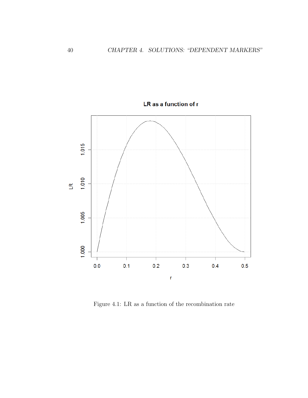

LR as a function of r

Figure 4.1: LR as a function of the recombination rate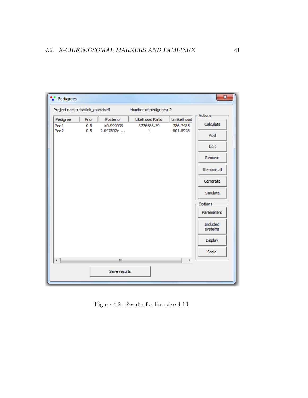| Pedigrees                                                 |       |              |                  |               | $\mathbf{z}$        |
|-----------------------------------------------------------|-------|--------------|------------------|---------------|---------------------|
| Project name: famlink_exercise5<br>Number of pedigrees: 2 |       |              |                  |               |                     |
| Pedigree                                                  | Prior | Posterior    | Likelihood Ratio | Ln likelihood | <b>Actions</b>      |
| Ped1                                                      | 0.5   | >0.999999    | 3776588.39       | $-786,7485$   | Calculate           |
| Ped <sub>2</sub>                                          | 0.5   | 2.647892e-   | $\mathbf{1}$     | $-801.8928$   | Add                 |
|                                                           |       |              |                  |               | Edit                |
|                                                           |       |              |                  |               | Remove              |
|                                                           |       |              |                  |               | Remove all          |
|                                                           |       |              |                  |               | Generate            |
|                                                           |       |              |                  |               | Simulate            |
|                                                           |       |              |                  |               | Options             |
|                                                           |       |              |                  |               | Parameters          |
|                                                           |       |              |                  |               | Included<br>systems |
|                                                           |       |              |                  |               | Display             |
|                                                           |       |              |                  |               | Scale               |
| 4                                                         |       | m.           |                  | k             |                     |
|                                                           |       | Save results |                  |               |                     |

Figure 4.2: Results for Exercise [4.10](#page--1-6)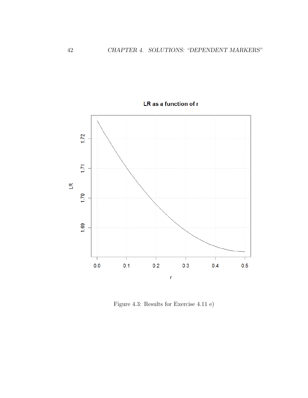

LR as a function of r

Figure 4.3: Results for Exercise [4.11](#page--1-7) e)